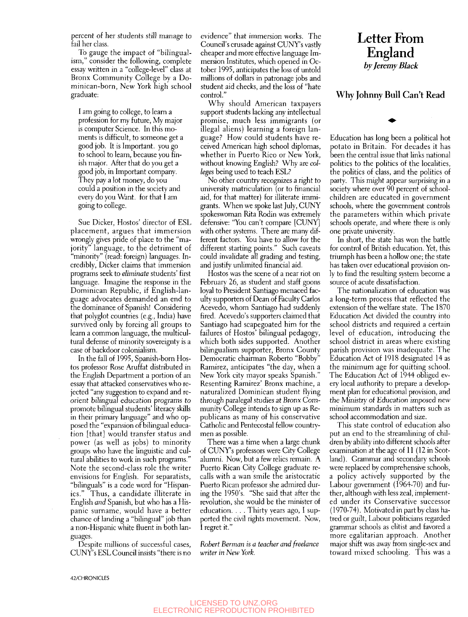percent of her students still manage to fail her class.

To gauge the impact of "bilingualism," consider the following, complete essay written in a "college-level" class at Bronx Community College by a Dominican-born, New York high school graduate:

I am going to college, to learn a profession for my future. My major is computer Science. In this moments is difficult, to someone get a good job. It is Important, you go to school to learn, because you finish major. After that do you get a good job, in Important company. They pay a lot money, do you could a position in the society and every do you Want, for that I am going to college.

Sue Dicker, Hostos' director of ESL placement, argues that immersion wrongly gives pride of place to the "majority" language, to the detriment of "minority" (read; foreign) languages. Incredibly, Dicker claims that immersion programs seek to *eliminate* students' first language. Imagine the response in the Dominican Republic, if English-language advocates demanded an end to the dominance of Spanish! Considering that polyglot countries (e.g., India) have survived only by forcing all groups to learn a common language, the multicultural defense of minority sovereignty is a case of backdoor colonialism.

In the fall of 1995, Spanish-born Hostos professor Rose Aruffat distributed in the English Department a portion of an essay that attacked conservatives who rejected "any suggestion to expand and reorient bilingual education programs to promote bilingual students' literacy skills in their primary language" and who opposed the "expansion of bilingual education [that] would transfer status and power (as well as jobs) to minority groups who have the linguistic and cultural abilities to work in such programs." Note the second-class role the writer envisions for English. For separatists, "bilinguals" is a code word for "Hispanics." Thus, a candidate illiterate in English *and* Spanish, but who has a Hispanic surname, would have a better chance of landing a "bilingual" job than a non-Hispanic white fluent in both languages.

Despite millions of successful cases, CUNY's ESL Council insists "there is no evidence" that immersion works. The Council's crusade against CUNY's vastly cheaper and more effective language Immersion Institutes, which opened in October 1995, anticipates the loss of untold millions of dollars in patronage jobs and student aid checks, and the loss of "hate control."

Why should American taxpayers support students lacking any intellectual promise, much less immigrants (or illegal aliens) learning a foreign language? How could students have received American high school diplomas, whether in Puerto Rico or New York, without knowing English? Why are *colleges* being used to teach ESL?

No other country recognizes a right to university matriculation (or to financial aid, for that matter) for illiterate immigrants. When we spoke last July, CUNY spokeswoman Rita Rodin was extremely defensive: "You can't compare [CUNY] with other systems. There are many different factors. You have to allow for the different starting points." Such caveats could invalidate all grading and testing, and justify unlimited financial aid.

Hostos was the scene of a near riot on February 26, as student and staff goons loyal to President Santiago menaced faculty supporters of Dean of Faculty Carlos Acevedo, whom Santiago had suddenly fired. Acevedo's supporters claimed that Santiago had scapegoated him for the failures of Hostos' bilingual pedagogy, which both sides supported. Another bilingualism supporter, Bronx County Democratic chairman Roberto "Bobby" Ramirez, anticipates "the day, when a New York city mayor speaks Spanish." Resenting Ramirez' Bronx machine, a naturalized Dominican student flying through paralegal studies at Bronx Community College intends to sign up as Republicans as many of his conservative Catholic and Pentecostal fellow countrymen as possible.

There was a time when a large chunk of CUNY's professors were City College alumni. Now, but a few relics remain. A Puerto Rican City College graduate recalls with a wan smile the aristocratic Puerto Rican professor she admired during the 1950's. "She said that after the revolution, she would be the minister of education. . . . Thirty years ago, I supported the civil rights movement. Now, I regret it."

*Robert Berman is a teacher and freelance writer in New York.* 

## Letter From England<br>by Jeremy Black

## Why Johnny Bull Can't Read

Education has long been a political hot potato in Britain. For decades it has been the central issue that links national politics to the politics of the localities, the politics of class, and the politics of party. This might appear surprising in a society where over 90 percent of schoolchildren are educated in government schools, where the government controls the parameters within which private schools operate, and where there is only one private university.

In short, the state has won the battle for control of British education. Yet, this triumph has been a hollow one; the state has taken over educational provision only to find the resulting system become a source of acute dissatisfaction.

The nationalization of education was a long-term process that reflected the extension of the welfare state. The 1870 Education Act divided the country into school districts and required a certain level of education, introducing the school district in areas where existing parish provision was inadequate. The Education Act of 1918 designated 14 as the minimum age for quitting school. The Education Act of 1944 obliged every local authority to prepare a development plan for educational provision, and the Ministry of Education imposed new minimum standards in matters such as school accommodation and size.

This state control of education also put an end to the streamlining of children by ability into different schools after examination at the age of 11 (12 in Scotland). Grammar and secondary schools were replaced by comprehensive schools, a policy actively supported by the Labour government (1964-70) and further, although with less zeal, implemented under its Conservative successor (1970-74). Motivated m part by class hatred or guilt. Labour politicians regarded grammar schools as elitist and favored a more egalitarian approach. Another major shift was away from single-sex and toward mixed schooling. This was a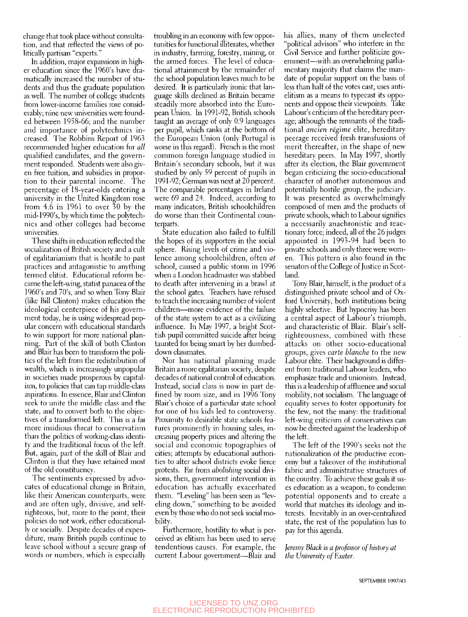change that took place without consultation, and that reflected the views of politically partisan "experts."

In addition, major expansions in higher education since the 1960's have dramatically increased the number of students and thus the graduate population as well. The number of college students from lower-income families rose considerably; nine new universities were founded between 1958-66; and the number and importance of polytechnics increased. The Robbins Report of 1963 recommended higher education for *all*  qualified candidates, and the government responded. Students were also given free tuition, and subsidies in proportion to their parental income. The percentage of 18-year-olds entering a university in the United Kingdom rose from 4.6 in 1961 to over 30 by the mid-1990's, by which time the polytechnics and other colleges had become universities.

These shifts in education reflected the socialization of British society and a cult of egalitarianism that is hostile to past practices and antagonistic to anything termed elitist. Educational reform became the left-wing, statist panacea of the 1960's and 70's, and so when Tony Blair (like Bill Clinton) makes education the ideological centerpiece of his government today, he is using widespread popular concern with educational standards to win support for more national planning. Part of the skill of both Clinton and Blair has been to transform the politics of the left from the redistribution of wealth, which is increasingly unpopular in societies made prosperous by capitalism, to policies that can tap middle-class aspirations. In essence, Blair and Clinton seek to unite the middle class and the state, and to convert both to the objectives of a transformed left. This is a far more insidious threat to conservatism than the politics of working-class identity and the traditional focus of the left. But, again, part of the skill of Blair and Clinton is that they have retained most of the old constituency.

The sentiments expressed by advocates of educational change in Britain, like their American counterparts, were and are often ugly, divisive, and selfrighteous, but, more to the point, their policies do not work, either educationally or socially. Despite decades of expenditure, many British pupils continue to leave school without a secure grasp of words or numbers, which is especially

troubling in an economy with few opportunities for functional illiterates, whether in industry, farming, forestry, mining, or the armed forces. The level of educational attainment by the remainder of the school population leaves much to be desired. It is particularly ironic that language skills declined as Britain became steadily more absorbed into the European Union. In 1991-92, British schools taught an average of only 0.9 languages per pupil, which ranks at the bottom of the European Union (only Portugal is worse in this regard). French is the most common foreign language studied in Britain's secondary schools, but it was studied by only 59 percent of pupils in 1991-92; German was next at 20 percent. The comparable percentages in Ireland were 69 and 24. Indeed, according to many indicators, British schoolchildren do worse than their Continental counterparts.

State education also failed to fulfill the hopes of its supporters in the social sphere. Rising levels of crime and violence among schoolchildren, often *at*  school, caused a public storm in 1996 when a London headmaster was stabbed to death after intervening in a brawl at the school gates. Teachers have refused to teach the increasing number of violent children—more evidence of the failure of the state system to act as a civilizing influence. In May 1997, a bright Scottish pupil committed suicide after being taunted for being smart by her dumbeddown classmates.

Nor has national planning made Britain a more egalitarian society, despite decades of national control of education. Instead, social class is now in part defined by room size, and in 1996 Tony Blair's choice of a particular state school for one of his kids led to controversy. Proximity to desirable state schools features prominently in housing sales, increasing property prices and altering the social and economic topographies of cities; attempts by educational authorities to alter school districts evoke fierce protests. Far from *abolishing* social divisions, then, government intervention in education has actually exacerbated them. "Leveling" has been seen as "leveling down," something to be avoided even by those who do not seek social mobility.

Furthermore, hostility to what is perceived as elitism has been used to serve tendentious causes. For example, the current Labour government—Blair and

his allies, many of them uneleeted "political advisors" who interfere in the Civil Service and further politicize government—with an overwhelming parliamentary majority that claims the mandate of popular support on the basis of less than half of the votes cast, uses antielitism as a means to typecast its opponents and oppose their viewpoints. Take Labour's criticism of the hereditary peerage; although the remnants of the traditional *ancien regime* elite, hereditary peerage received fresh transfusions of merit thereafter, in the shape of new hereditary peers. In May 1997, shortly after its election, the Blair government began criticizing the socio-educational character of another autonomous and potentially hostile group, the judiciary. It was presented as overwhelmingly composed of men and the products of private schools, which to Labour signifies a necessarily anachronistic and reactionary force; indeed, all of the 26 judges appointed in 1993-94 had been to private schools and only three were women. This pattern is also found in the senators of the College of Justice in Scotland.

Tony Blair, himself, is the product of a distinguished private school and of Oxford University, both institutions being highly selective. But hypocrisy has been a central aspect of Labour's triumph, and characteristic of Blair. Blair's selfrighteousness, combined with these attacks on other socio-educational groups, gives *carte blanche* to the new Labour elite. Their background is different from traditional Labour leaders, who emphasize trade and unionism. Instead, this is a leadership of affluence and social mobility, not socialism. The language of equality serves to foster opportunity for the few, not the many: the traditional left-wing criticism of conservatives can now be directed against the leadership of the left.

The left of the 1990's seeks not the nationalization of the productive economy but a takeover of the institutional fabric and administrative structures of the country. To achieve these goals it uses education as a weapon, to condemn potential opponents and to create a world that matches its ideology and interests. Inevitably in an over-centralized state, the rest of the population has to pay for this agenda.

*]eremy Black is a professor of history at the University of Exeter.* 

SEPTEMBER 1997/43